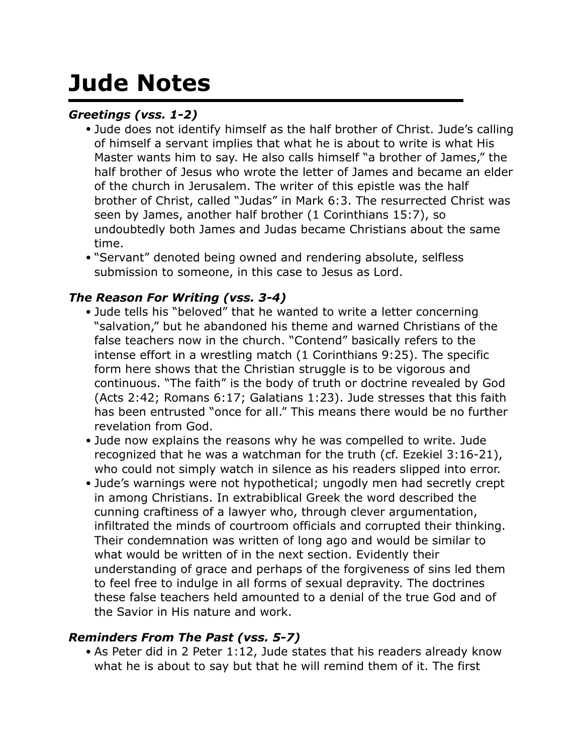# **Jude Notes**

## *Greetings (vss. 1-2)*

- Jude does not identify himself as the half brother of Christ. Jude's calling of himself a servant implies that what he is about to write is what His Master wants him to say. He also calls himself "a brother of James," the half brother of Jesus who wrote the letter of James and became an elder of the church in Jerusalem. The writer of this epistle was the half brother of Christ, called "Judas" in Mark 6:3. The resurrected Christ was seen by James, another half brother (1 Corinthians 15:7), so undoubtedly both James and Judas became Christians about the same time.
- "Servant" denoted being owned and rendering absolute, selfless submission to someone, in this case to Jesus as Lord.

### *The Reason For Writing (vss. 3-4)*

- Jude tells his "beloved" that he wanted to write a letter concerning "salvation," but he abandoned his theme and warned Christians of the false teachers now in the church. "Contend" basically refers to the intense effort in a wrestling match (1 Corinthians 9:25). The specific form here shows that the Christian struggle is to be vigorous and continuous. "The faith" is the body of truth or doctrine revealed by God (Acts 2:42; Romans 6:17; Galatians 1:23). Jude stresses that this faith has been entrusted "once for all." This means there would be no further revelation from God.
- Jude now explains the reasons why he was compelled to write. Jude recognized that he was a watchman for the truth (cf. Ezekiel 3:16-21), who could not simply watch in silence as his readers slipped into error.
- Jude's warnings were not hypothetical; ungodly men had secretly crept in among Christians. In extrabiblical Greek the word described the cunning craftiness of a lawyer who, through clever argumentation, infiltrated the minds of courtroom officials and corrupted their thinking. Their condemnation was written of long ago and would be similar to what would be written of in the next section. Evidently their understanding of grace and perhaps of the forgiveness of sins led them to feel free to indulge in all forms of sexual depravity. The doctrines these false teachers held amounted to a denial of the true God and of the Savior in His nature and work.

#### *Reminders From The Past (vss. 5-7)*

• As Peter did in 2 Peter 1:12, Jude states that his readers already know what he is about to say but that he will remind them of it. The first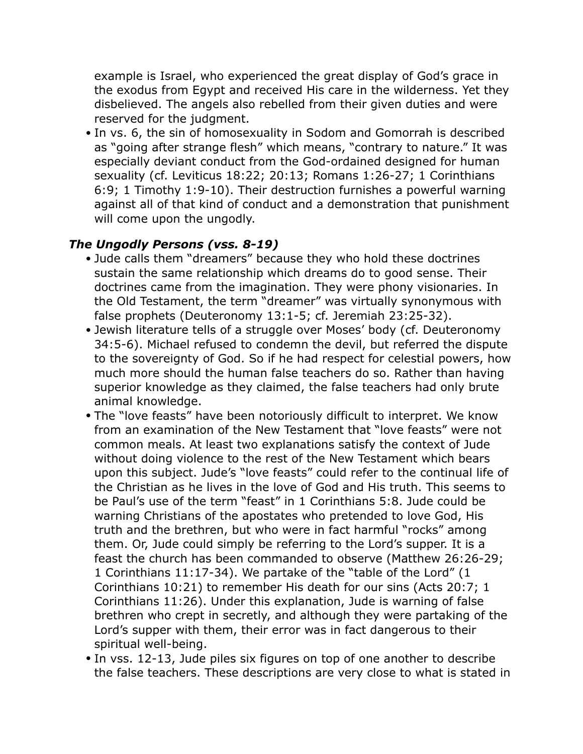example is Israel, who experienced the great display of God's grace in the exodus from Egypt and received His care in the wilderness. Yet they disbelieved. The angels also rebelled from their given duties and were reserved for the judgment.

• In vs. 6, the sin of homosexuality in Sodom and Gomorrah is described as "going after strange flesh" which means, "contrary to nature." It was especially deviant conduct from the God-ordained designed for human sexuality (cf. Leviticus 18:22; 20:13; Romans 1:26-27; 1 Corinthians 6:9; 1 Timothy 1:9-10). Their destruction furnishes a powerful warning against all of that kind of conduct and a demonstration that punishment will come upon the ungodly.

#### *The Ungodly Persons (vss. 8-19)*

- Jude calls them "dreamers" because they who hold these doctrines sustain the same relationship which dreams do to good sense. Their doctrines came from the imagination. They were phony visionaries. In the Old Testament, the term "dreamer" was virtually synonymous with false prophets (Deuteronomy 13:1-5; cf. Jeremiah 23:25-32).
- Jewish literature tells of a struggle over Moses' body (cf. Deuteronomy 34:5-6). Michael refused to condemn the devil, but referred the dispute to the sovereignty of God. So if he had respect for celestial powers, how much more should the human false teachers do so. Rather than having superior knowledge as they claimed, the false teachers had only brute animal knowledge.
- The "love feasts" have been notoriously difficult to interpret. We know from an examination of the New Testament that "love feasts" were not common meals. At least two explanations satisfy the context of Jude without doing violence to the rest of the New Testament which bears upon this subject. Jude's "love feasts" could refer to the continual life of the Christian as he lives in the love of God and His truth. This seems to be Paul's use of the term "feast" in 1 Corinthians 5:8. Jude could be warning Christians of the apostates who pretended to love God, His truth and the brethren, but who were in fact harmful "rocks" among them. Or, Jude could simply be referring to the Lord's supper. It is a feast the church has been commanded to observe (Matthew 26:26-29; 1 Corinthians 11:17-34). We partake of the "table of the Lord" (1 Corinthians 10:21) to remember His death for our sins (Acts 20:7; 1 Corinthians 11:26). Under this explanation, Jude is warning of false brethren who crept in secretly, and although they were partaking of the Lord's supper with them, their error was in fact dangerous to their spiritual well-being.
- In vss. 12-13, Jude piles six figures on top of one another to describe the false teachers. These descriptions are very close to what is stated in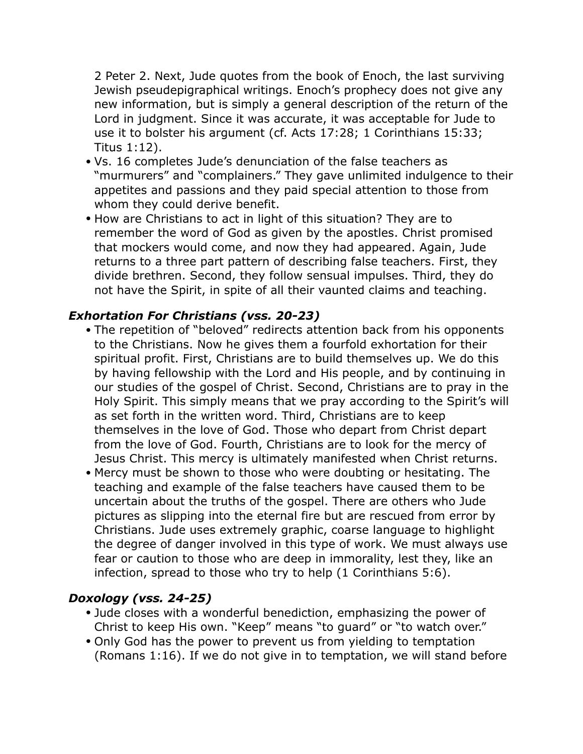2 Peter 2. Next, Jude quotes from the book of Enoch, the last surviving Jewish pseudepigraphical writings. Enoch's prophecy does not give any new information, but is simply a general description of the return of the Lord in judgment. Since it was accurate, it was acceptable for Jude to use it to bolster his argument (cf. Acts 17:28; 1 Corinthians 15:33; Titus 1:12).

- Vs. 16 completes Jude's denunciation of the false teachers as "murmurers" and "complainers." They gave unlimited indulgence to their appetites and passions and they paid special attention to those from whom they could derive benefit.
- How are Christians to act in light of this situation? They are to remember the word of God as given by the apostles. Christ promised that mockers would come, and now they had appeared. Again, Jude returns to a three part pattern of describing false teachers. First, they divide brethren. Second, they follow sensual impulses. Third, they do not have the Spirit, in spite of all their vaunted claims and teaching.

### *Exhortation For Christians (vss. 20-23)*

- The repetition of "beloved" redirects attention back from his opponents to the Christians. Now he gives them a fourfold exhortation for their spiritual profit. First, Christians are to build themselves up. We do this by having fellowship with the Lord and His people, and by continuing in our studies of the gospel of Christ. Second, Christians are to pray in the Holy Spirit. This simply means that we pray according to the Spirit's will as set forth in the written word. Third, Christians are to keep themselves in the love of God. Those who depart from Christ depart from the love of God. Fourth, Christians are to look for the mercy of Jesus Christ. This mercy is ultimately manifested when Christ returns.
- Mercy must be shown to those who were doubting or hesitating. The teaching and example of the false teachers have caused them to be uncertain about the truths of the gospel. There are others who Jude pictures as slipping into the eternal fire but are rescued from error by Christians. Jude uses extremely graphic, coarse language to highlight the degree of danger involved in this type of work. We must always use fear or caution to those who are deep in immorality, lest they, like an infection, spread to those who try to help (1 Corinthians 5:6).

#### *Doxology (vss. 24-25)*

- Jude closes with a wonderful benediction, emphasizing the power of Christ to keep His own. "Keep" means "to guard" or "to watch over."
- Only God has the power to prevent us from yielding to temptation (Romans 1:16). If we do not give in to temptation, we will stand before